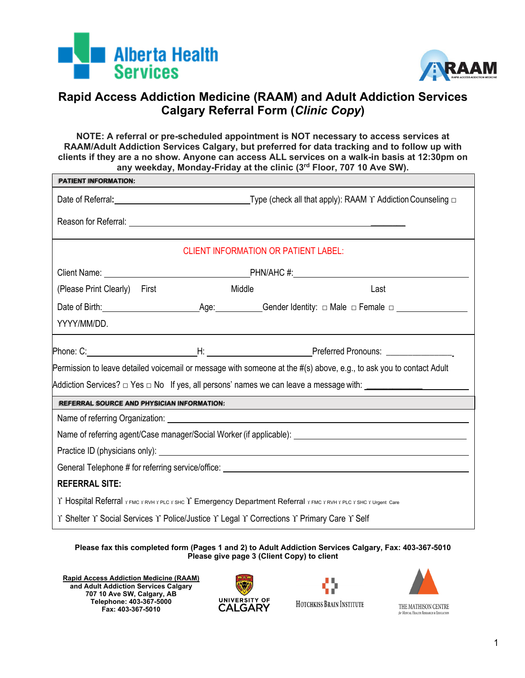



## **Rapid Access Addiction Medicine (RAAM) and Adult Addiction Services Calgary Referral Form (***Clinic Copy***)**

**NOTE: A referral or pre-scheduled appointment is NOT necessary to access services at RAAM/Adult Addiction Services Calgary, but preferred for data tracking and to follow up with clients if they are a no show. Anyone can access ALL services on a walk-in basis at 12:30pm on any weekday, Monday-Friday at the clinic (3rd Floor, 707 10 Ave SW).**

| <b>PATIENT INFORMATION:</b>                                                                                         |                                                                                                                                                  |        |      |  |  |  |  |  |
|---------------------------------------------------------------------------------------------------------------------|--------------------------------------------------------------------------------------------------------------------------------------------------|--------|------|--|--|--|--|--|
|                                                                                                                     | Date of Referral: <u>Date of Referral:</u> Date of Referral: <b>Date of Referral:</b> Date of Referral: Date of Referral of Date of Publishing D |        |      |  |  |  |  |  |
|                                                                                                                     |                                                                                                                                                  |        |      |  |  |  |  |  |
| <b>CLIENT INFORMATION OR PATIENT LABEL:</b>                                                                         |                                                                                                                                                  |        |      |  |  |  |  |  |
|                                                                                                                     |                                                                                                                                                  |        |      |  |  |  |  |  |
| (Please Print Clearly) First                                                                                        |                                                                                                                                                  | Middle | Last |  |  |  |  |  |
|                                                                                                                     |                                                                                                                                                  |        |      |  |  |  |  |  |
| YYYY/MM/DD.                                                                                                         |                                                                                                                                                  |        |      |  |  |  |  |  |
|                                                                                                                     |                                                                                                                                                  |        |      |  |  |  |  |  |
| Permission to leave detailed voicemail or message with someone at the #(s) above, e.g., to ask you to contact Adult |                                                                                                                                                  |        |      |  |  |  |  |  |
| Addiction Services? $\Box$ Yes $\Box$ No If yes, all persons' names we can leave a message with: $\Box$             |                                                                                                                                                  |        |      |  |  |  |  |  |
| <b>REFERRAL SOURCE AND PHYSICIAN INFORMATION:</b>                                                                   |                                                                                                                                                  |        |      |  |  |  |  |  |
|                                                                                                                     |                                                                                                                                                  |        |      |  |  |  |  |  |
|                                                                                                                     |                                                                                                                                                  |        |      |  |  |  |  |  |
|                                                                                                                     |                                                                                                                                                  |        |      |  |  |  |  |  |
| General Telephone # for referring service/office: _______________________________                                   |                                                                                                                                                  |        |      |  |  |  |  |  |
| <b>REFERRAL SITE:</b>                                                                                               |                                                                                                                                                  |        |      |  |  |  |  |  |
| Y Hospital Referral หลด หลงพหายเรารหด Y Emergency Department Referral หลด หลงพหายเรารหด หนาดูตะเลละ                 |                                                                                                                                                  |        |      |  |  |  |  |  |
| Y Shelter Y Social Services Y Police/Justice Y Legal Y Corrections Y Primary Care Y Self                            |                                                                                                                                                  |        |      |  |  |  |  |  |

**Please fax this completed form (Pages 1 and 2) to Adult Addiction Services Calgary, Fax: 403-367-5010 Please give page 3 (Client Copy) to client**

**Rapid Access Addiction Medicine (RAAM) and Adult Addiction Services Calgary 707 10 Ave SW, Calgary, AB Telephone: 403-367-5000 Fax: 403-367-5010** 





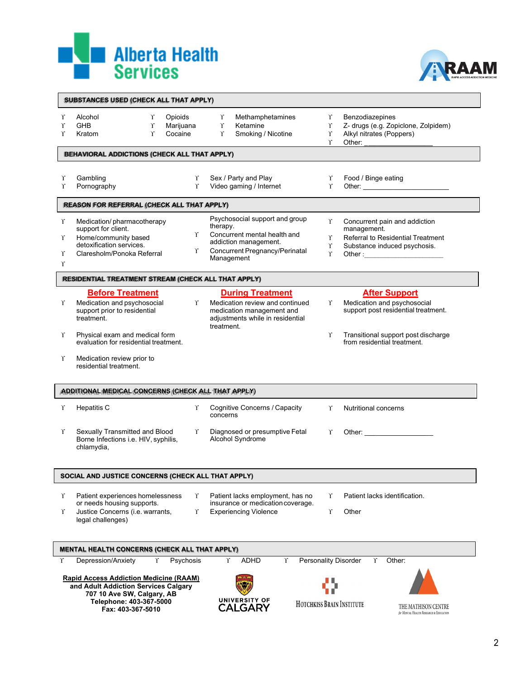



|             | SUBSTANCES USED (CHECK ALL THAT APPLY)                                                                                                         |                                 |                                                                                                                |                                                                                                                                                                                                                                                                                                                            |
|-------------|------------------------------------------------------------------------------------------------------------------------------------------------|---------------------------------|----------------------------------------------------------------------------------------------------------------|----------------------------------------------------------------------------------------------------------------------------------------------------------------------------------------------------------------------------------------------------------------------------------------------------------------------------|
| Υ<br>Υ<br>Ŷ | Alcohol<br>Υ<br>$\Upsilon$<br><b>GHB</b><br>$\Upsilon$<br>Kratom                                                                               | Opioids<br>Marijuana<br>Cocaine | Υ<br>Methamphetamines<br>$\Upsilon$<br>Ketamine<br>Υ<br>Smoking / Nicotine                                     | Benzodiazepines<br>Υ<br>Z- drugs (e.g. Zopiclone, Zolpidem)<br>Υ<br>Alkyl nitrates (Poppers)<br>Υ<br>Other:<br>Υ                                                                                                                                                                                                           |
|             | <b>BEHAVIORAL ADDICTIONS (CHECK ALL THAT APPLY)</b>                                                                                            |                                 |                                                                                                                |                                                                                                                                                                                                                                                                                                                            |
| Υ           | Gambling                                                                                                                                       | Υ                               | Sex / Party and Play                                                                                           | Υ<br>Food / Binge eating                                                                                                                                                                                                                                                                                                   |
| Υ           | Pornography                                                                                                                                    | $\Upsilon$                      | Video gaming / Internet                                                                                        | Υ                                                                                                                                                                                                                                                                                                                          |
|             | REASON FOR REFERRAL (CHECK ALL THAT APPLY)                                                                                                     |                                 |                                                                                                                |                                                                                                                                                                                                                                                                                                                            |
| Υ           | Medication/pharmacotherapy                                                                                                                     |                                 | Psychosocial support and group                                                                                 | Υ<br>Concurrent pain and addiction                                                                                                                                                                                                                                                                                         |
|             | support for client.<br>Home/community based                                                                                                    | Υ                               | therapy.<br>Concurrent mental health and                                                                       | management.<br>Referral to Residential Treatment<br>Υ                                                                                                                                                                                                                                                                      |
| Υ           | detoxification services.                                                                                                                       |                                 | addiction management.                                                                                          | Υ<br>Substance induced psychosis.                                                                                                                                                                                                                                                                                          |
| Υ           | Claresholm/Ponoka Referral                                                                                                                     | Υ                               | Concurrent Pregnancy/Perinatal<br>Management                                                                   | Υ                                                                                                                                                                                                                                                                                                                          |
| $\Upsilon$  |                                                                                                                                                |                                 |                                                                                                                |                                                                                                                                                                                                                                                                                                                            |
|             | RESIDENTIAL TREATMENT STREAM (CHECK ALL THAT APPLY)                                                                                            |                                 |                                                                                                                |                                                                                                                                                                                                                                                                                                                            |
|             | <b>Before Treatment</b>                                                                                                                        |                                 | <b>During Treatment</b>                                                                                        | <b>After Support</b>                                                                                                                                                                                                                                                                                                       |
| Υ           | Medication and psychosocial<br>support prior to residential<br>treatment.                                                                      | r                               | Medication review and continued<br>medication management and<br>adjustments while in residential<br>treatment. | Medication and psychosocial<br>Υ<br>support post residential treatment.                                                                                                                                                                                                                                                    |
| Υ           | Physical exam and medical form<br>evaluation for residential treatment.                                                                        |                                 |                                                                                                                | Transitional support post discharge<br>Υ<br>from residential treatment.                                                                                                                                                                                                                                                    |
| Υ           | Medication review prior to<br>residential treatment.                                                                                           |                                 |                                                                                                                |                                                                                                                                                                                                                                                                                                                            |
|             | ADDITIONAL MEDICAL CONCERNS (CHECK ALL THAT APPLY)                                                                                             |                                 |                                                                                                                |                                                                                                                                                                                                                                                                                                                            |
| Υ           | <b>Hepatitis C</b>                                                                                                                             | Υ                               | Cognitive Concerns / Capacity<br>concerns                                                                      | <b>Nutritional concerns</b><br>r                                                                                                                                                                                                                                                                                           |
| Υ           | Sexually Transmitted and Blood<br>Borne Infections i.e. HIV, syphilis,<br>chlamydia,                                                           | r                               | Diagnosed or presumptive Fetal<br>Alcohol Syndrome                                                             | Other: $\frac{1}{2}$ $\frac{1}{2}$ $\frac{1}{2}$ $\frac{1}{2}$ $\frac{1}{2}$ $\frac{1}{2}$ $\frac{1}{2}$ $\frac{1}{2}$ $\frac{1}{2}$ $\frac{1}{2}$ $\frac{1}{2}$ $\frac{1}{2}$ $\frac{1}{2}$ $\frac{1}{2}$ $\frac{1}{2}$ $\frac{1}{2}$ $\frac{1}{2}$ $\frac{1}{2}$ $\frac{1}{2}$ $\frac{1}{2}$ $\frac{1}{2}$ $\frac{$<br>r |
|             | SOCIAL AND JUSTICE CONCERNS (CHECK ALL THAT APPLY)                                                                                             |                                 |                                                                                                                |                                                                                                                                                                                                                                                                                                                            |
| Υ           | Patient experiences homelessness                                                                                                               | r                               | Patient lacks employment, has no                                                                               | Patient lacks identification.<br>Υ                                                                                                                                                                                                                                                                                         |
| Υ           | or needs housing supports.<br>Justice Concerns (i.e. warrants,                                                                                 | $\Upsilon$                      | insurance or medication coverage.<br><b>Experiencing Violence</b>                                              | Υ<br>Other                                                                                                                                                                                                                                                                                                                 |
|             | legal challenges)                                                                                                                              |                                 |                                                                                                                |                                                                                                                                                                                                                                                                                                                            |
|             | <b>MENTAL HEALTH CONCERNS (CHECK ALL THAT APPLY)</b>                                                                                           |                                 |                                                                                                                |                                                                                                                                                                                                                                                                                                                            |
| J.          | Υ<br>Depression/Anxiety                                                                                                                        | Psychosis                       | Υ<br>ADHD<br>Υ                                                                                                 | <b>Personality Disorder</b><br>Other:<br>Υ                                                                                                                                                                                                                                                                                 |
|             | <b>Rapid Access Addiction Medicine (RAAM)</b><br>and Adult Addiction Services Calgary<br>707 10 Ave SW, Calgary, AB<br>Telephone: 403-367-5000 |                                 | <b>UNIVERSITY OF</b>                                                                                           | HOTCHKISS BRAIN INSTITUTE                                                                                                                                                                                                                                                                                                  |
|             | Fax: 403-367-5010                                                                                                                              |                                 | <b>CALGARY</b>                                                                                                 | THE MATHISON CENTRE<br>for MENTAL HEALTH RESEARCH & EDUCATION                                                                                                                                                                                                                                                              |